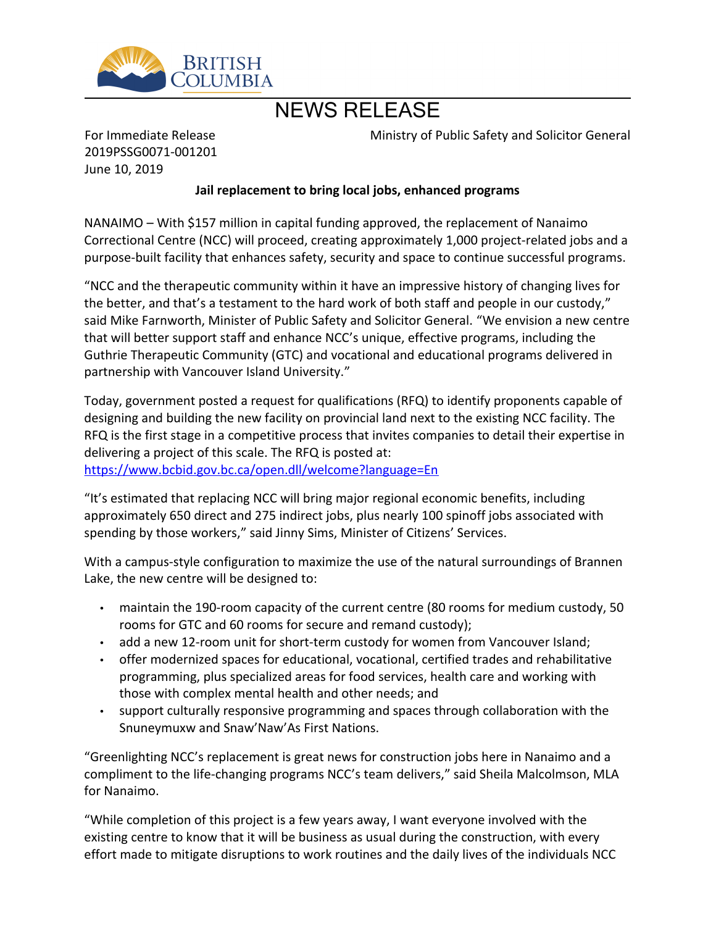

## NEWS RELEASE

For Immediate Release 2019PSSG0071-001201 June 10, 2019

Ministry of Public Safety and Solicitor General

## **Jail replacement to bring local jobs, enhanced programs**

 $NANAIMO - With $157$  million in capital funding approved, the replacement of Nanaimo Correctional Centre (NCC) will proceed, creating approximately 1,000 project-related jobs and a purpose-built facility that enhances safety, security and space to continue successful programs.

͞NCC and the therapeutic community within it have an impressive history of changing lives for the better, and that's a testament to the hard work of both staff and people in our custody," said Mike Farnworth, Minister of Public Safety and Solicitor General. "We envision a new centre that will better support staff and enhance NCC's unique, effective programs, including the Guthrie Therapeutic Community (GTC) and vocational and educational programs delivered in partnership with Vancouver Island University.<sup>"</sup>

Today, government posted a request for qualifications (RFQ) to identify proponents capable of designing and building the new facility on provincial land next to the existing NCC facility. The RFQ is the first stage in a competitive process that invites companies to detail their expertise in delivering a project of this scale. The RFQ is posted at: <https://www.bcbid.gov.bc.ca/open.dll/welcome?language=En>

"It's estimated that replacing NCC will bring major regional economic benefits, including approximately 650 direct and 275 indirect jobs, plus nearly 100 spinoff jobs associated with spending by those workers," said Jinny Sims, Minister of Citizens' Services.

With a campus-style configuration to maximize the use of the natural surroundings of Brannen Lake, the new centre will be designed to:

- maintain the 190-room capacity of the current centre (80 rooms for medium custody, 50 rooms for GTC and 60 rooms for secure and remand custody);
- add a new 12-room unit for short-term custody for women from Vancouver Island;
- offer modernized spaces for educational, vocational, certified trades and rehabilitative programming, plus specialized areas for food services, health care and working with those with complex mental health and other needs; and
- support culturally responsive programming and spaces through collaboration with the Snuneymuxw and Snaw'Naw'As First Nations.

͞Greenlighting NCC͛s replacement is great news for construction jobs here in Nanaimo and a compliment to the life-changing programs NCC's team delivers," said Sheila Malcolmson, MLA for Nanaimo.

͞While completion of this project is a few years away, I want everyone involved with the existing centre to know that it will be business as usual during the construction, with every effort made to mitigate disruptions to work routines and the daily lives of the individuals NCC